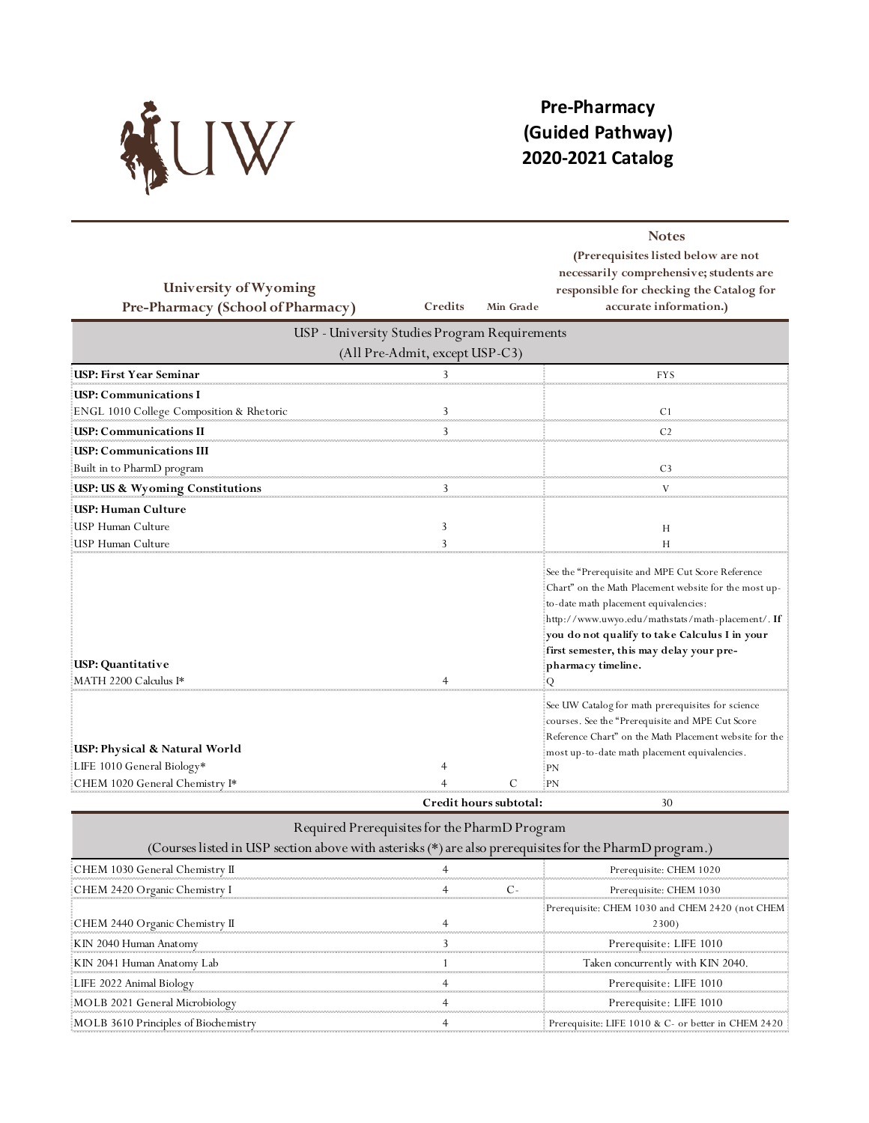

## **Pre-Pharmacy (Guided Pathway) 2020-2021 Catalog**

|                                               |         |                        | <b>Notes</b><br>(Prerequisites listed below are not    |  |  |  |
|-----------------------------------------------|---------|------------------------|--------------------------------------------------------|--|--|--|
|                                               |         |                        | necessarily comprehensive; students are                |  |  |  |
| University of Wyoming                         |         |                        | responsible for checking the Catalog for               |  |  |  |
| Pre-Pharmacy (School of Pharmacy)             | Credits | Min Grade              | accurate information.)                                 |  |  |  |
| USP - University Studies Program Requirements |         |                        |                                                        |  |  |  |
| (All Pre-Admit, except USP-C3)                |         |                        |                                                        |  |  |  |
| <b>USP: First Year Seminar</b>                | 3.      |                        | <b>FYS</b>                                             |  |  |  |
| USP: Communications I                         |         |                        |                                                        |  |  |  |
| ENGL 1010 College Composition & Rhetoric      | 3       |                        | C <sub>1</sub>                                         |  |  |  |
| USP: Communications II                        | 3       |                        | C <sub>2</sub>                                         |  |  |  |
| USP: Communications III                       |         |                        |                                                        |  |  |  |
| Built in to PharmD program                    |         |                        | C <sub>3</sub>                                         |  |  |  |
| USP: US & Wyoming Constitutions               |         |                        |                                                        |  |  |  |
| USP: Human Culture                            |         |                        |                                                        |  |  |  |
| USP Human Culture                             | 3       |                        | H                                                      |  |  |  |
| USP Human Culture                             |         |                        |                                                        |  |  |  |
|                                               |         |                        | See the "Prerequisite and MPE Cut Score Reference      |  |  |  |
|                                               |         |                        | Chart" on the Math Placement website for the most up-  |  |  |  |
|                                               |         |                        | to-date math placement equivalencies:                  |  |  |  |
|                                               |         |                        | http://www.uwyo.edu/mathstats/math-placement/. If      |  |  |  |
|                                               |         |                        | you do not qualify to take Calculus I in your          |  |  |  |
|                                               |         |                        | first semester, this may delay your pre-               |  |  |  |
| USP: Quantitative                             |         |                        | pharmacy timeline.                                     |  |  |  |
| MATH 2200 Calculus I*                         |         |                        | О                                                      |  |  |  |
|                                               |         |                        | See UW Catalog for math prerequisites for science      |  |  |  |
|                                               |         |                        | courses. See the "Prerequisite and MPE Cut Score       |  |  |  |
| USP: Physical & Natural World                 |         |                        | Reference Chart" on the Math Placement website for the |  |  |  |
| LIFE 1010 General Biology*                    | 4       |                        | most up-to-date math placement equivalencies.<br>PN    |  |  |  |
| CHEM 1020 General Chemistry I*                |         |                        | PN                                                     |  |  |  |
|                                               |         | Credit hours subtotal: | 30                                                     |  |  |  |

## Required Prerequisites for the PharmD Program

| (Courses listed in USP section above with asterisks (*) are also prerequisites for the PharmD program.) |  |  |                                                          |  |
|---------------------------------------------------------------------------------------------------------|--|--|----------------------------------------------------------|--|
| CHEM 1030 General Chemistry II                                                                          |  |  | Prerequisite: CHEM 1020                                  |  |
| CHEM 2420 Organic Chemistry I                                                                           |  |  | Prerequisite: CHEM 1030                                  |  |
| CHEM 2440 Organic Chemistry II                                                                          |  |  | Prerequisite: CHEM 1030 and CHEM 2420 (not CHEM<br>2300) |  |
| KIN 2040 Human Anatomy                                                                                  |  |  | Prerequisite: LIFE 1010                                  |  |
| KIN 2041 Human Anatomy Lab                                                                              |  |  | Taken concurrently with KIN 2040.                        |  |
| LIFE 2022 Animal Biology                                                                                |  |  | Prerequisite: LIFE 1010                                  |  |
| MOLB 2021 General Microbiology                                                                          |  |  | Prerequisite: LIFE 1010                                  |  |
| MOLB 3610 Principles of Biochemistry                                                                    |  |  | Prerequisite: LIFE 1010 & C- or better in CHEM 2420      |  |